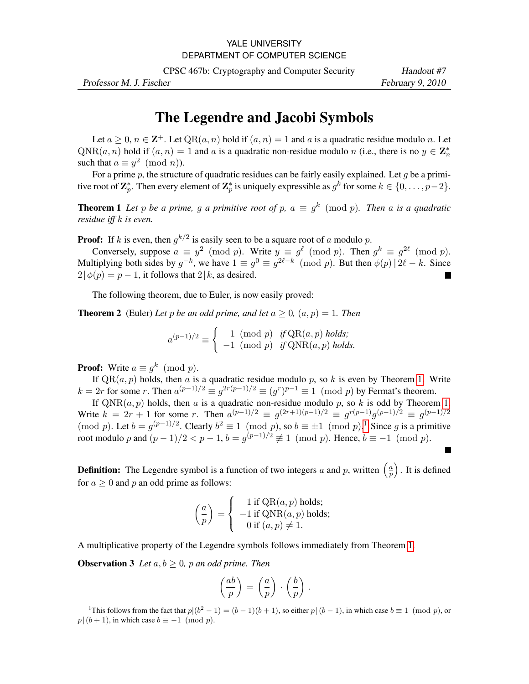## YALE UNIVERSITY DEPARTMENT OF COMPUTER SCIENCE

CPSC 467b: Cryptography and Computer Security Handout #7

Professor M. J. Fischer February 9, 2010

## The Legendre and Jacobi Symbols

Let  $a \geq 0$ ,  $n \in \mathbb{Z}^+$ . Let  $\text{QR}(a, n)$  hold if  $(a, n) = 1$  and a is a quadratic residue modulo n. Let  $\text{QNR}(a, n)$  hold if  $(a, n) = 1$  and a is a quadratic non-residue modulo n (i.e., there is no  $y \in \mathbb{Z}_n^*$ ) such that  $a \equiv y^2 \pmod{n}$ .

For a prime p, the structure of quadratic residues can be fairly easily explained. Let q be a primitive root of  $\mathbf{Z}_p^*$ . Then every element of  $\mathbf{Z}_p^*$  is uniquely expressible as  $g^k$  for some  $k \in \{0, \ldots, p-2\}$ .

<span id="page-0-0"></span>**Theorem 1** Let p be a prime, g a primitive root of p,  $a \equiv g^k \pmod{p}$ . Then a is a quadratic *residue iff* k *is even.*

**Proof:** If k is even, then  $g^{k/2}$  is easily seen to be a square root of a modulo p.

Conversely, suppose  $a \equiv y^2 \pmod{p}$ . Write  $y \equiv g^{\ell} \pmod{p}$ . Then  $g^k \equiv g^{2\ell} \pmod{p}$ . Multiplying both sides by  $g^{-k}$ , we have  $1 \equiv g^0 \equiv g^{2\ell-k} \pmod{p}$ . But then  $\phi(p) | 2\ell - k$ . Since  $2|\phi(p) = p - 1$ , it follows that  $2|k$ , as desired.

The following theorem, due to Euler, is now easily proved:

**Theorem 2** (Euler) Let p be an odd prime, and let  $a \ge 0$ ,  $(a, p) = 1$ . Then

<span id="page-0-2"></span>
$$
a^{(p-1)/2} \equiv \begin{cases} 1 \pmod{p} & \text{if } \text{QR}(a, p) \text{ holds;} \\ -1 \pmod{p} & \text{if } \text{QNR}(a, p) \text{ holds.} \end{cases}
$$

**Proof:** Write  $a \equiv g^k \pmod{p}$ .

If  $QR(a, p)$  holds, then a is a quadratic residue modulo p, so k is even by Theorem [1.](#page-0-0) Write  $k = 2r$  for some r. Then  $a^{(p-1)/2} \equiv g^{2r(p-1)/2} \equiv (g^r)^{p-1} \equiv 1 \pmod{p}$  by Fermat's theorem.

If  $\text{QNR}(a, p)$  holds, then a is a quadratic non-residue modulo p, so k is odd by Theorem [1.](#page-0-0) Write  $k = 2r + 1$  for some r. Then  $a^{(p-1)/2} \equiv g^{(2r+1)(p-1)/2} \equiv g^{r(p-1)}g^{(p-1)/2} \equiv g^{(p-1)/2}$ (mod p). Let  $b = g^{(p-1)/2}$  $b = g^{(p-1)/2}$  $b = g^{(p-1)/2}$ . Clearly  $b^2 \equiv 1 \pmod{p}$ , so  $b \equiv \pm 1 \pmod{p}$ .<sup>1</sup> Since g is a primitive root modulo p and  $(p-1)/2 < p-1$ ,  $b = g^{(p-1)/2} \not\equiv 1 \pmod{p}$ . Hence,  $b \equiv -1 \pmod{p}$ .

**Definition:** The Legendre symbol is a function of two integers a and p, written  $\left(\frac{a}{n}\right)$  $\left(\frac{a}{p}\right)$ . It is defined for  $a \geq 0$  and p an odd prime as follows:

$$
\left(\frac{a}{p}\right) = \begin{cases}\n1 \text{ if } QR(a, p) \text{ holds;} \n-1 \text{ if } QNR(a, p) \text{ holds;} \n0 \text{ if } (a, p) \neq 1.\n\end{cases}
$$

A multiplicative property of the Legendre symbols follows immediately from Theorem [1.](#page-0-0)

**Observation 3** *Let*  $a, b \ge 0$ *, p an odd prime. Then* 

$$
\left(\frac{ab}{p}\right) = \left(\frac{a}{p}\right) \cdot \left(\frac{b}{p}\right).
$$

<span id="page-0-1"></span><sup>&</sup>lt;sup>1</sup>This follows from the fact that  $p/(b^2-1) = (b-1)(b+1)$ , so either  $p/(b-1)$ , in which case  $b \equiv 1 \pmod{p}$ , or  $p|(b+1)$ , in which case  $b \equiv -1 \pmod{p}$ .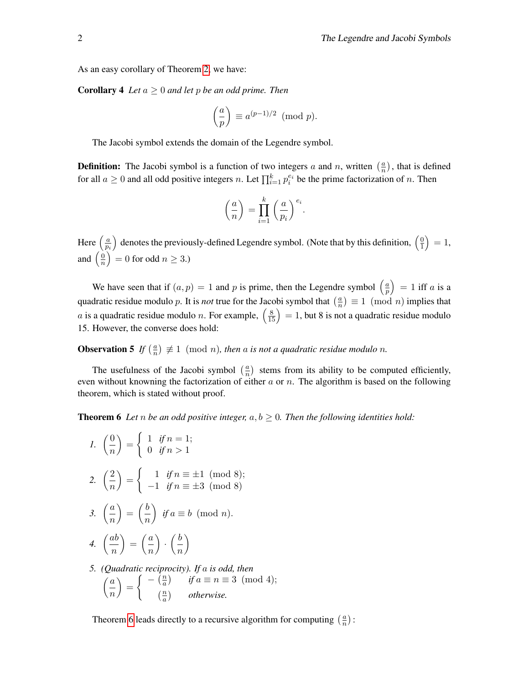As an easy corollary of Theorem [2,](#page-0-2) we have:

**Corollary 4** *Let*  $a \geq 0$  *and let*  $p$  *be an odd prime. Then* 

$$
\left(\frac{a}{p}\right) \equiv a^{(p-1)/2} \pmod{p}.
$$

The Jacobi symbol extends the domain of the Legendre symbol.

**Definition:** The Jacobi symbol is a function of two integers a and n, written  $\left(\frac{a}{n}\right)$  $\frac{a}{n}$ ), that is defined for all  $a \ge 0$  and all odd positive integers n. Let  $\prod_{i=1}^{k} p_i^{e_i}$  be the prime factorization of n. Then

$$
\left(\frac{a}{n}\right) = \prod_{i=1}^k \left(\frac{a}{p_i}\right)^{e_i}.
$$

Here  $\left(\frac{a}{n}\right)$  $\overline{p_i}$ ) denotes the previously-defined Legendre symbol. (Note that by this definition,  $\left(\frac{0}{1}\right)$  $\left(\frac{0}{1}\right) = 1,$ and  $\left(\frac{0}{n}\right)$  $\left(\frac{0}{n}\right) = 0$  for odd  $n \geq 3$ .)

We have seen that if  $(a, p) = 1$  and p is prime, then the Legendre symbol  $\left(\frac{a}{n}\right)$  $\left(\frac{a}{p}\right) = 1$  iff a is a quadratic residue modulo p. It is *not* true for the Jacobi symbol that  $\left(\frac{a}{n}\right)$  $\left(\frac{a}{n}\right) \equiv 1 \pmod{n}$  implies that *a* is a quadratic residue modulo *n*. For example,  $\left(\frac{8}{15}\right) = 1$ , but 8 is not a quadratic residue modulo 15. However, the converse does hold:

**Observation 5** If  $\left(\frac{a}{n}\right)$  $\left(\frac{a}{n}\right) \not\equiv 1 \pmod{n}$ , then a is not a quadratic residue modulo n.

The usefulness of the Jacobi symbol  $\left(\frac{a}{n}\right)$  $\frac{a}{n}$ ) stems from its ability to be computed efficiently, even without knowning the factorization of either  $a$  or  $n$ . The algorithm is based on the following theorem, which is stated without proof.

<span id="page-1-0"></span>**Theorem 6** Let *n* be an odd positive integer,  $a, b \ge 0$ . Then the following identities hold:

*1.*  $\left( \frac{0}{0} \right)$ n  $=$  $\int 1$  *if*  $n = 1$ ; 0 *if*  $n > 1$ 2.  $\left( \frac{2}{2} \right)$ n  $=$  $\int 1$  *if*  $n \equiv \pm 1 \pmod{8}$ ;  $-1$  *if*  $n \equiv \pm 3 \pmod{8}$ 3.  $\left(\frac{a}{a}\right)$ n  $=\left(\frac{b}{a}\right)$ n *if*  $a \equiv b \pmod{n}$ . 4.  $\left(\frac{ab}{a}\right)$ n  $=\left(\frac{a}{a}\right)$ n  $\Big) \cdot \Big( \frac{b}{\cdot} \Big)$ n  $\setminus$ *5. (Quadratic reciprocity). If* a *is odd, then*

$$
\binom{a}{n} = \begin{cases}\n-\binom{n}{a} & \text{if } a \equiv n \equiv 3 \pmod{4}; \\
\binom{n}{a} & \text{otherwise.}\n\end{cases}
$$

Theorem [6](#page-1-0) leads directly to a recursive algorithm for computing  $\left(\frac{a}{n}\right)$  $\frac{a}{n}$ ):